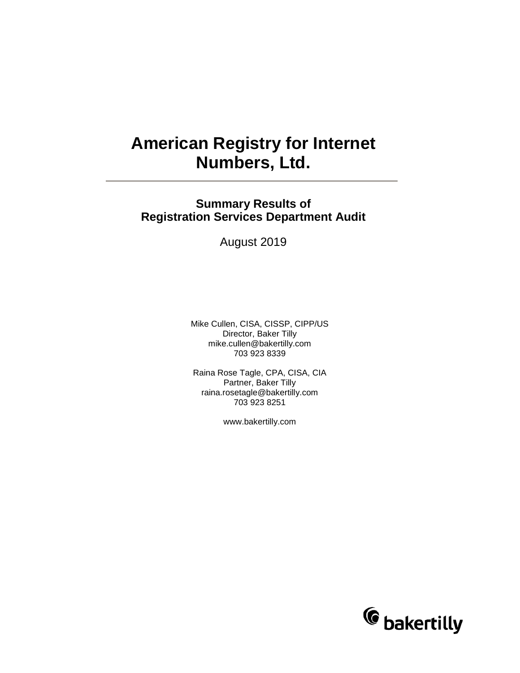# **American Registry for Internet Numbers, Ltd.**

# **Summary Results of Registration Services Department Audit**

August 2019

Mike Cullen, CISA, CISSP, CIPP/US Director, Baker Tilly mike.cullen@bakertilly.com 703 923 8339

Raina Rose Tagle, CPA, CISA, CIA Partner, Baker Tilly raina.rosetagle@bakertilly.com 703 923 8251

www.bakertilly.com

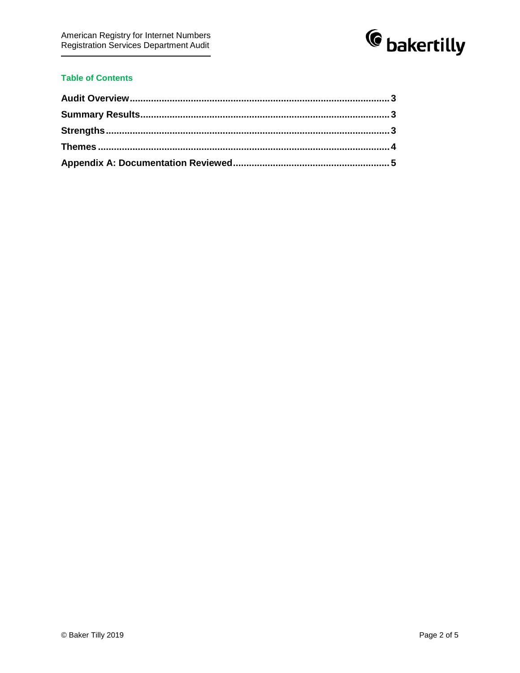

## **Table of Contents**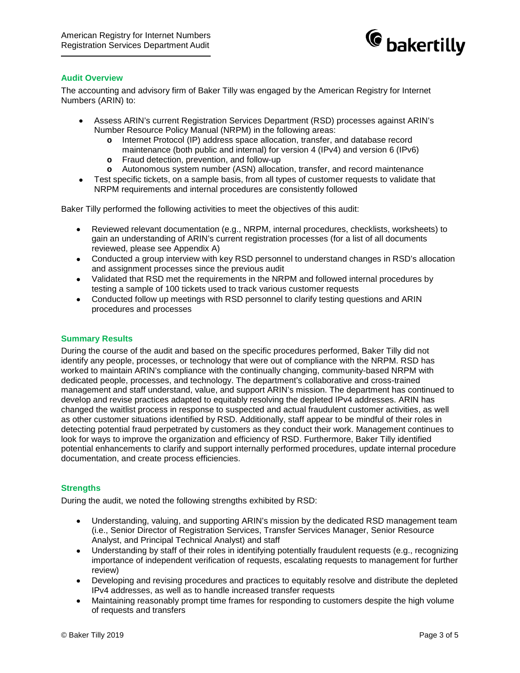

#### <span id="page-2-0"></span>**Audit Overview**

The accounting and advisory firm of Baker Tilly was engaged by the American Registry for Internet Numbers (ARIN) to:

- Assess ARIN's current Registration Services Department (RSD) processes against ARIN's Number Resource Policy Manual (NRPM) in the following areas:
	- **o** Internet Protocol (IP) address space allocation, transfer, and database record maintenance (both public and internal) for version 4 (IPv4) and version 6 (IPv6)
	- **o** Fraud detection, prevention, and follow-up
	- **o** Autonomous system number (ASN) allocation, transfer, and record maintenance
- Test specific tickets, on a sample basis, from all types of customer requests to validate that NRPM requirements and internal procedures are consistently followed

Baker Tilly performed the following activities to meet the objectives of this audit:

- Reviewed relevant documentation (e.g., NRPM, internal procedures, checklists, worksheets) to gain an understanding of ARIN's current registration processes (for a list of all documents reviewed, please see Appendix A)
- Conducted a group interview with key RSD personnel to understand changes in RSD's allocation and assignment processes since the previous audit
- Validated that RSD met the requirements in the NRPM and followed internal procedures by testing a sample of 100 tickets used to track various customer requests
- Conducted follow up meetings with RSD personnel to clarify testing questions and ARIN procedures and processes

#### <span id="page-2-1"></span>**Summary Results**

During the course of the audit and based on the specific procedures performed, Baker Tilly did not identify any people, processes, or technology that were out of compliance with the NRPM. RSD has worked to maintain ARIN's compliance with the continually changing, community-based NRPM with dedicated people, processes, and technology. The department's collaborative and cross-trained management and staff understand, value, and support ARIN's mission. The department has continued to develop and revise practices adapted to equitably resolving the depleted IPv4 addresses. ARIN has changed the waitlist process in response to suspected and actual fraudulent customer activities, as well as other customer situations identified by RSD. Additionally, staff appear to be mindful of their roles in detecting potential fraud perpetrated by customers as they conduct their work. Management continues to look for ways to improve the organization and efficiency of RSD. Furthermore, Baker Tilly identified potential enhancements to clarify and support internally performed procedures, update internal procedure documentation, and create process efficiencies.

#### <span id="page-2-2"></span>**Strengths**

During the audit, we noted the following strengths exhibited by RSD:

- Understanding, valuing, and supporting ARIN's mission by the dedicated RSD management team (i.e., Senior Director of Registration Services, Transfer Services Manager, Senior Resource Analyst, and Principal Technical Analyst) and staff
- Understanding by staff of their roles in identifying potentially fraudulent requests (e.g., recognizing importance of independent verification of requests, escalating requests to management for further review)
- Developing and revising procedures and practices to equitably resolve and distribute the depleted IPv4 addresses, as well as to handle increased transfer requests
- Maintaining reasonably prompt time frames for responding to customers despite the high volume of requests and transfers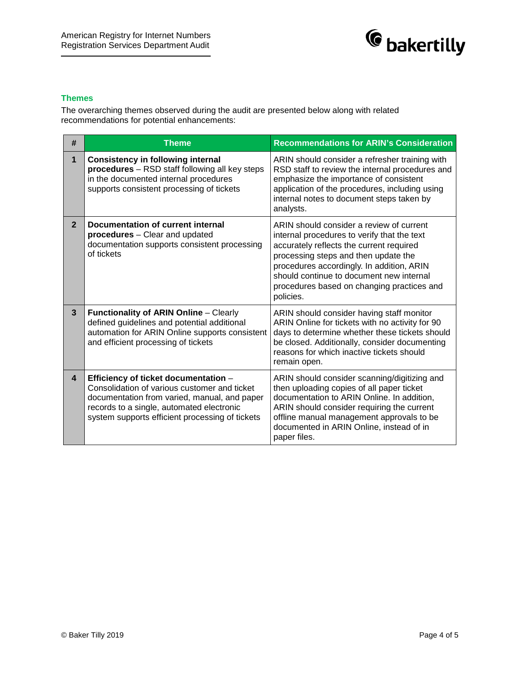

## <span id="page-3-0"></span>**Themes**

The overarching themes observed during the audit are presented below along with related recommendations for potential enhancements:

| #                       | <b>Theme</b>                                                                                                                                                                                                                         | <b>Recommendations for ARIN's Consideration</b>                                                                                                                                                                                                                                                                                 |
|-------------------------|--------------------------------------------------------------------------------------------------------------------------------------------------------------------------------------------------------------------------------------|---------------------------------------------------------------------------------------------------------------------------------------------------------------------------------------------------------------------------------------------------------------------------------------------------------------------------------|
| 1                       | <b>Consistency in following internal</b><br>procedures - RSD staff following all key steps<br>in the documented internal procedures<br>supports consistent processing of tickets                                                     | ARIN should consider a refresher training with<br>RSD staff to review the internal procedures and<br>emphasize the importance of consistent<br>application of the procedures, including using<br>internal notes to document steps taken by<br>analysts.                                                                         |
| $\overline{2}$          | Documentation of current internal<br>procedures - Clear and updated<br>documentation supports consistent processing<br>of tickets                                                                                                    | ARIN should consider a review of current<br>internal procedures to verify that the text<br>accurately reflects the current required<br>processing steps and then update the<br>procedures accordingly. In addition, ARIN<br>should continue to document new internal<br>procedures based on changing practices and<br>policies. |
| $\mathbf{3}$            | <b>Functionality of ARIN Online - Clearly</b><br>defined guidelines and potential additional<br>automation for ARIN Online supports consistent<br>and efficient processing of tickets                                                | ARIN should consider having staff monitor<br>ARIN Online for tickets with no activity for 90<br>days to determine whether these tickets should<br>be closed. Additionally, consider documenting<br>reasons for which inactive tickets should<br>remain open.                                                                    |
| $\overline{\mathbf{4}}$ | Efficiency of ticket documentation -<br>Consolidation of various customer and ticket<br>documentation from varied, manual, and paper<br>records to a single, automated electronic<br>system supports efficient processing of tickets | ARIN should consider scanning/digitizing and<br>then uploading copies of all paper ticket<br>documentation to ARIN Online. In addition,<br>ARIN should consider requiring the current<br>offline manual management approvals to be<br>documented in ARIN Online, instead of in<br>paper files.                                  |